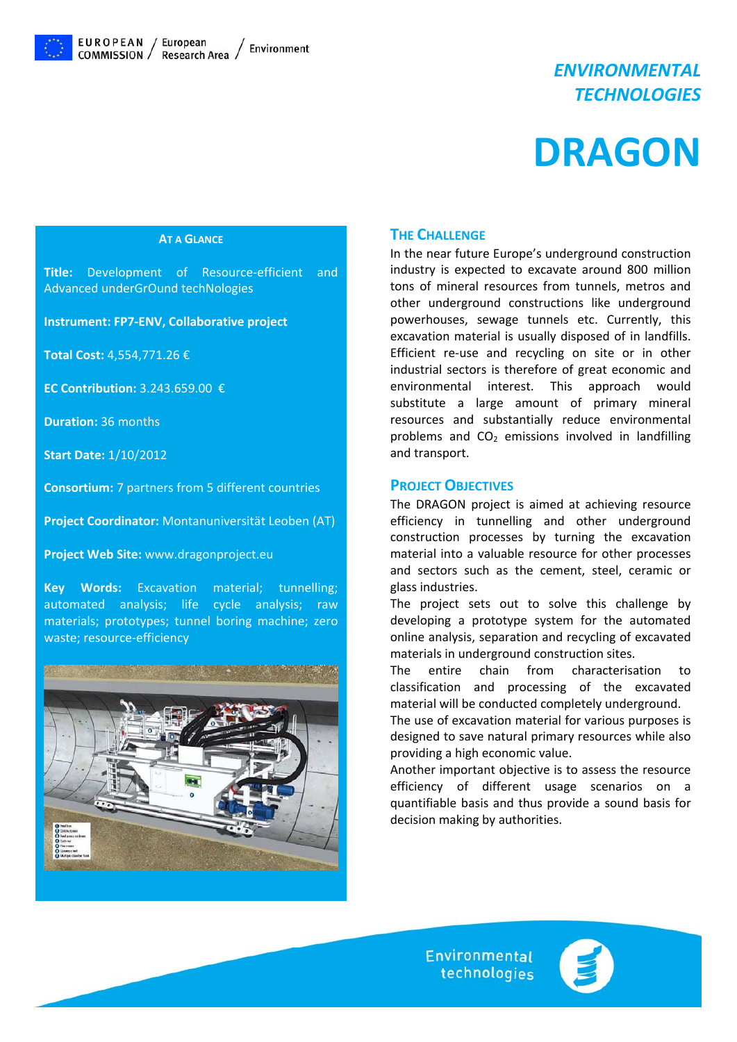

# *ENVIRONMENTAL TECHNOLOGIES*

# **DRAGON**

#### **AT A GLANCE**

**Title:** Development of Resource-efficient and Advanced underGrOund techNologies

**Instrument: FP7‐ENV, Collaborative project**

**Total Cost:** 4,554,771.26 €

**EC Contribution:** 3.243.659.00 €

**Duration:** 36 months

**Start Date:** 1/10/2012

**Consortium:** 7 partners from 5 different countries

**Project Coordinator:** Montanuniversität Leoben (AT)

**Project Web Site:** www.dragonproject.eu

**Key Words:** Excavation material; tunnelling; automated analysis; life cycle analysis; raw materials; prototypes; tunnel boring machine; zero waste; resource-efficiency



### **THE CHALLENGE**

In the near future Europe's underground construction industry is expected to excavate around 800 million tons of mineral resources from tunnels, metros and other underground constructions like underground powerhouses, sewage tunnels etc. Currently, this excavation material is usually disposed of in landfills. Efficient re-use and recycling on site or in other industrial sectors is therefore of great economic and environmental interest. This approach would substitute a large amount of primary mineral resources and substantially reduce environmental problems and  $CO<sub>2</sub>$  emissions involved in landfilling and transport.

#### **PROJECT OBJECTIVES**

The DRAGON project is aimed at achieving resource efficiency in tunnelling and other underground construction processes by turning the excavation material into a valuable resource for other processes and sectors such as the cement, steel, ceramic or glass industries.

The project sets out to solve this challenge by developing a prototype system for the automated online analysis, separation and recycling of excavated materials in underground construction sites.

The entire chain from characterisation to classification and processing of the excavated material will be conducted completely underground.

The use of excavation material for various purposes is designed to save natural primary resources while also providing a high economic value.

Another important objective is to assess the resource efficiency of different usage scenarios on a quantifiable basis and thus provide a sound basis for decision making by authorities.

> **Environmental** technologies